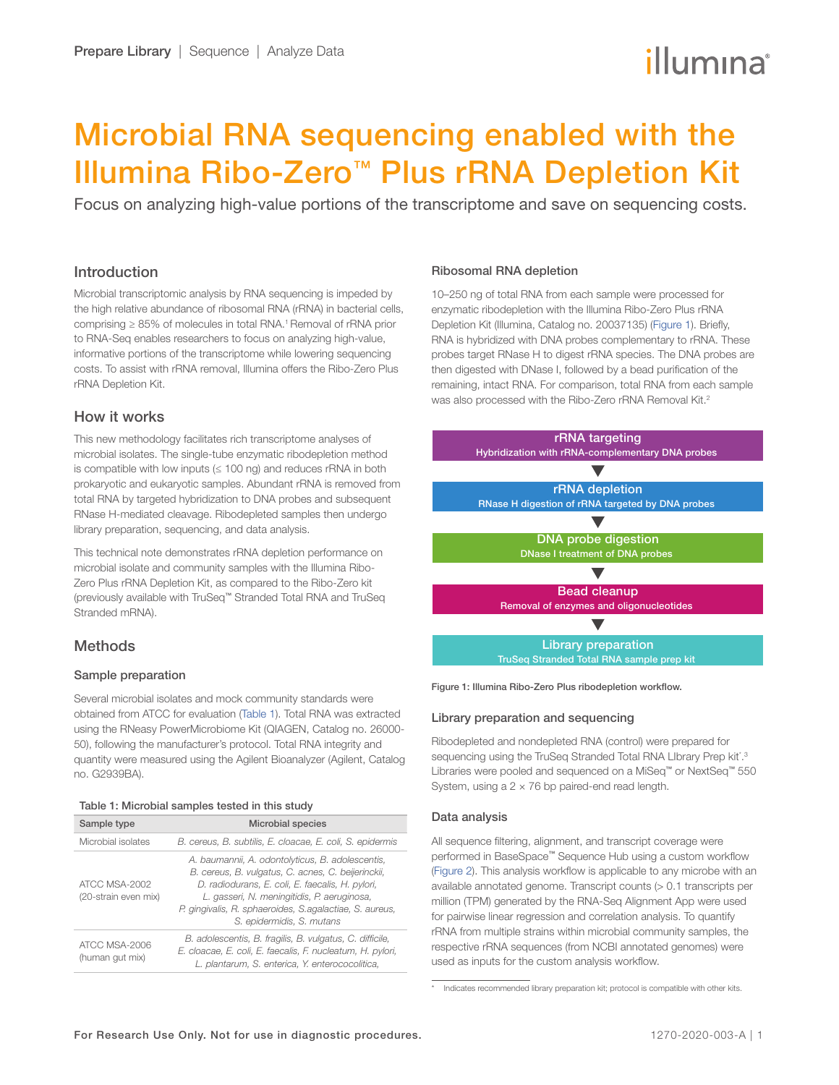# illumına

# <span id="page-0-0"></span>Microbial RNA sequencing enabled with the Illumina Ribo-Zero™ Plus rRNA Depletion Kit

Focus on analyzing high-value portions of the transcriptome and save on sequencing costs.

## Introduction

Microbial transcriptomic analysis by RNA sequencing is impeded by the high relative abundance of ribosomal RNA (rRNA) in bacterial cells, comprising ≥ 85% of molecules in total RNA.<sup>1</sup> Removal of rRNA prior to RNA-Seq enables researchers to focus on analyzing high-value, informative portions of the transcriptome while lowering sequencing costs. To assist with rRNA removal, Illumina offers the Ribo-Zero Plus rRNA Depletion Kit.

# How it works

This new methodology facilitates rich transcriptome analyses of microbial isolates. The single-tube enzymatic ribodepletion method is compatible with low inputs  $( \leq 100 \text{ ng} )$  and reduces rRNA in both prokaryotic and eukaryotic samples. Abundant rRNA is removed from total RNA by targeted hybridization to DNA probes and subsequent RNase H-mediated cleavage. Ribodepleted samples then undergo library preparation, sequencing, and data analysis.

This technical note demonstrates rRNA depletion performance on microbial isolate and community samples with the Illumina Ribo-Zero Plus rRNA Depletion Kit, as compared to the Ribo-Zero kit (previously available with TruSeq™ Stranded Total RNA and TruSeq Stranded mRNA).

# **Methods**

#### Sample preparation

Several microbial isolates and mock community standards were obtained from ATCC for evaluation (Table 1). Total RNA was extracted using the RNeasy PowerMicrobiome Kit (QIAGEN, Catalog no. 26000- 50), following the manufacturer's protocol. Total RNA integrity and quantity were measured using the Agilent Bioanalyzer (Agilent, Catalog no. G2939BA).

#### Table 1: Microbial samples tested in this study

| Sample type                           | <b>Microbial species</b>                                                                                                                                                                                                                                                                           |
|---------------------------------------|----------------------------------------------------------------------------------------------------------------------------------------------------------------------------------------------------------------------------------------------------------------------------------------------------|
| Microbial isolates                    | B. cereus, B. subtilis, E. cloacae, E. coli, S. epidermis                                                                                                                                                                                                                                          |
| ATCC MSA-2002<br>(20-strain even mix) | A. baumannii, A. odontolyticus, B. adolescentis,<br>B. cereus, B. vulgatus, C. acnes, C. beijerinckii,<br>D. radiodurans, E. coli, E. faecalis, H. pylori,<br>L. gasseri, N. meningitidis, P. aeruginosa,<br>P. gingivalis, R. sphaeroides, S. agalactiae, S. aureus,<br>S. epidermidis, S. mutans |
| ATCC MSA-2006<br>(human gut mix)      | B. adolescentis, B. fragilis, B. vulgatus, C. difficile,<br>E. cloacae, E. coli, E. faecalis, F. nucleatum, H. pylori,<br>L. plantarum, S. enterica, Y. enterococolitica,                                                                                                                          |

#### Ribosomal RNA depletion

10–250 ng of total RNA from each sample were processed for enzymatic ribodepletion with the Illumina Ribo-Zero Plus rRNA Depletion Kit (Illumina, Catalog no. 20037135) (Figure 1). Briefly, RNA is hybridized with DNA probes complementary to rRNA. These probes target RNase H to digest rRNA species. The DNA probes are then digested with DNase I, followed by a bead purification of the remaining, intact RNA. For comparison, total RNA from each sample was also processed with the Ribo-Zero rRNA Removal Kit.<sup>[2](#page-3-1)</sup>



Figure 1: Illumina Ribo-Zero Plus ribodepletion workflow.

#### Library preparation and sequencing

Ribodepleted and nondepleted RNA (control) were prepared for sequencing using the TruSeq Stranded Total RNA LIbrary Prep kit<sup>\*</sup>.<sup>[3](#page-3-2)</sup> Libraries were pooled and sequenced on a MiSeq™ or NextSeq™ 550 System, using a  $2 \times 76$  bp paired-end read length.

#### Data analysis

All sequence filtering, alignment, and transcript coverage were performed in BaseSpace™ Sequence Hub using a custom workflow ([Figure 2\)](#page-1-0). This analysis workflow is applicable to any microbe with an available annotated genome. Transcript counts (> 0.1 transcripts per million (TPM) generated by the RNA-Seq Alignment App were used for pairwise linear regression and correlation analysis. To quantify rRNA from multiple strains within microbial community samples, the respective rRNA sequences (from NCBI annotated genomes) were used as inputs for the custom analysis workflow.

Indicates recommended library preparation kit; protocol is compatible with other kits.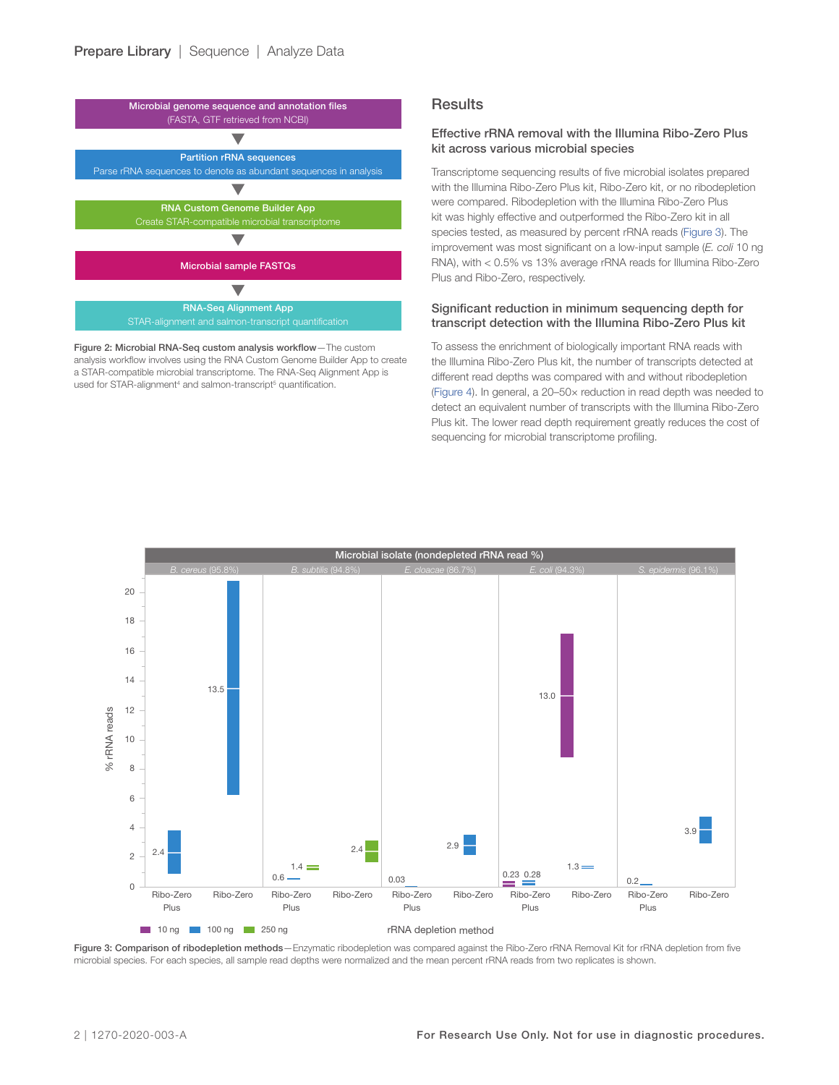<span id="page-1-0"></span>

Figure 2: Microbial RNA-Seq custom analysis workflow—The custom analysis workflow involves using the RNA Custom Genome Builder App to create a STAR-compatible microbial transcriptome. The RNA-Seq Alignment App is used for STAR-alignment<sup>4</sup> and salmon-transcript<sup>5</sup> quantification.

#### **Results**

#### Effective rRNA removal with the Illumina Ribo-Zero Plus kit across various microbial species

Transcriptome sequencing results of five microbial isolates prepared with the Illumina Ribo-Zero Plus kit, Ribo-Zero kit, or no ribodepletion were compared. Ribodepletion with the Illumina Ribo-Zero Plus kit was highly effective and outperformed the Ribo-Zero kit in all species tested, as measured by percent rRNA reads (Figure 3). The improvement was most significant on a low-input sample (*E. coli* 10 ng RNA), with < 0.5% vs 13% average rRNA reads for Illumina Ribo-Zero Plus and Ribo-Zero, respectively.

#### Significant reduction in minimum sequencing depth for transcript detection with the Illumina Ribo-Zero Plus kit

To assess the enrichment of biologically important RNA reads with the Illumina Ribo-Zero Plus kit, the number of transcripts detected at different read depths was compared with and without ribodepletion ([Figure 4\)](#page-2-0). In general, a 20–50× reduction in read depth was needed to detect an equivalent number of transcripts with the Illumina Ribo-Zero Plus kit. The lower read depth requirement greatly reduces the cost of sequencing for microbial transcriptome profiling.



Figure 3: Comparison of ribodepletion methods—Enzymatic ribodepletion was compared against the Ribo-Zero rRNA Removal Kit for rRNA depletion from five microbial species. For each species, all sample read depths were normalized and the mean percent rRNA reads from two replicates is shown.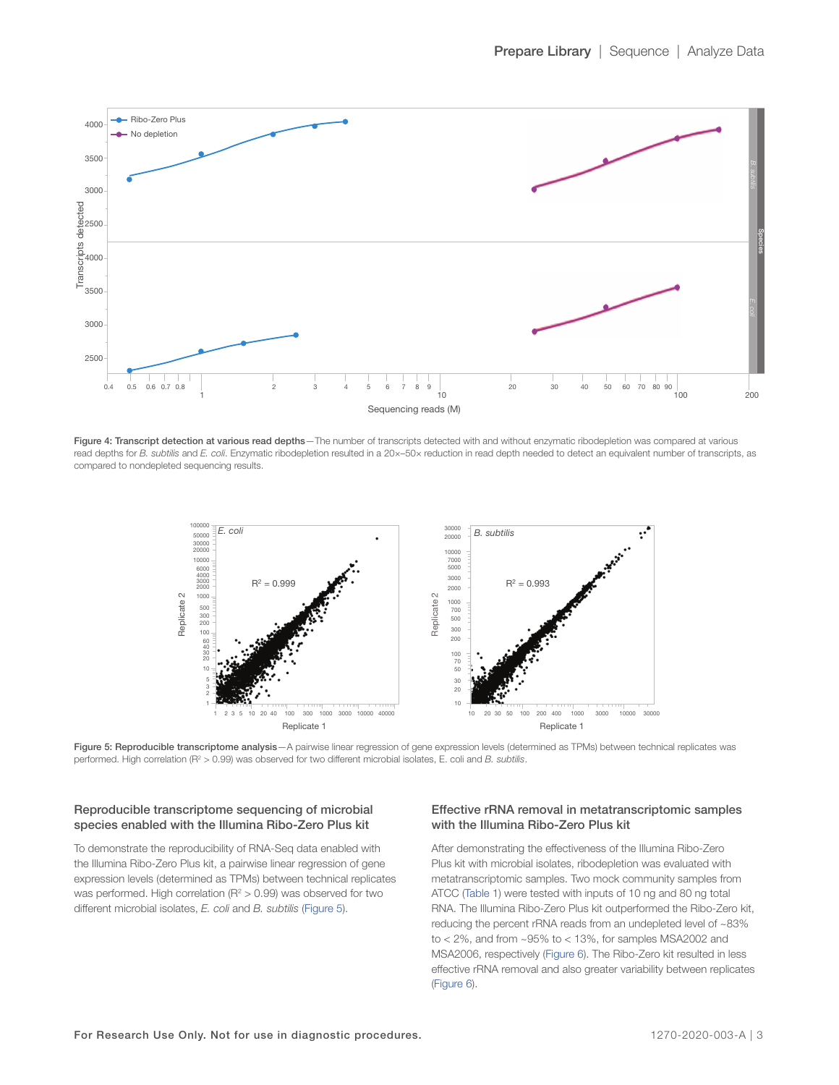<span id="page-2-0"></span>

Figure 4: Transcript detection at various read depths-The number of transcripts detected with and without enzymatic ribodepletion was compared at various read depths for *B. subtilis* and *E. coli*. Enzymatic ribodepletion resulted in a 20×–50× reduction in read depth needed to detect an equivalent number of transcripts, as compared to nondepleted sequencing results.



Figure 5: Reproducible transcriptome analysis - A pairwise linear regression of gene expression levels (determined as TPMs) between technical replicates was performed. High correlation (R<sup>2</sup> > 0.99) was observed for two different microbial isolates, E. coli and *B. subtilis*.

#### Reproducible transcriptome sequencing of microbial species enabled with the Illumina Ribo-Zero Plus kit

To demonstrate the reproducibility of RNA-Seq data enabled with the Illumina Ribo-Zero Plus kit, a pairwise linear regression of gene expression levels (determined as TPMs) between technical replicates was performed. High correlation ( $R^2 > 0.99$ ) was observed for two different microbial isolates, *E. coli* and *B. subtilis* (Figure 5).

#### Effective rRNA removal in metatranscriptomic samples with the Illumina Ribo-Zero Plus kit

After demonstrating the effectiveness of the Illumina Ribo-Zero Plus kit with microbial isolates, ribodepletion was evaluated with metatranscriptomic samples. Two mock community samples from ATCC [\(Table 1\)](#page-0-0) were tested with inputs of 10 ng and 80 ng total RNA. The Illumina Ribo-Zero Plus kit outperformed the Ribo-Zero kit, reducing the percent rRNA reads from an undepleted level of ~83% to < 2%, and from ~95% to < 13%, for samples MSA2002 and MSA2006, respectively [\(Figure 6](#page-3-5)). The Ribo-Zero kit resulted in less effective rRNA removal and also greater variability between replicates ([Figure](#page-3-5) 6).